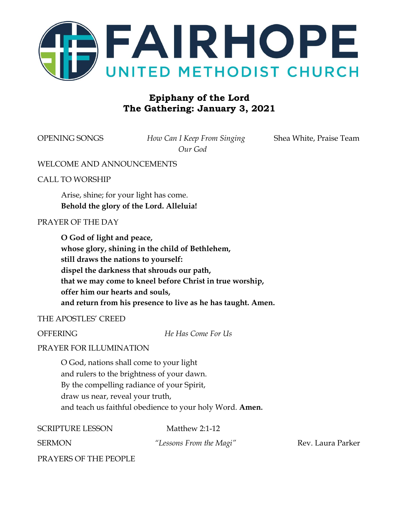

# **Epiphany of the Lord The Gathering: January 3, 2021**

OPENING SONGS *How Can I Keep From Singing* Shea White, Praise Team *Our God*

WELCOME AND ANNOUNCEMENTS

CALL TO WORSHIP

Arise, shine; for your light has come. **Behold the glory of the Lord. Alleluia!**

PRAYER OF THE DAY

**O God of light and peace, whose glory, shining in the child of Bethlehem, still draws the nations to yourself: dispel the darkness that shrouds our path, that we may come to kneel before Christ in true worship, offer him our hearts and souls, and return from his presence to live as he has taught. Amen.**

THE APOSTLES' CREED

OFFERING *He Has Come For Us*

### PRAYER FOR ILLUMINATION

O God, nations shall come to your light and rulers to the brightness of your dawn. By the compelling radiance of your Spirit, draw us near, reveal your truth, and teach us faithful obedience to your holy Word. **Amen.**

SCRIPTURE LESSON Matthew 2:1-12

SERMON *"Lessons From the Magi"* Rev. Laura Parker

PRAYERS OF THE PEOPLE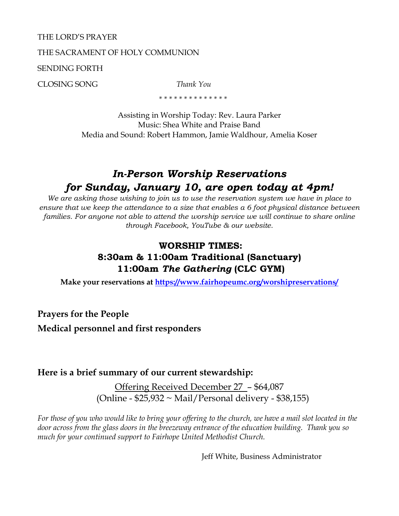#### THE LORD'S PRAYER

THE SACRAMENT OF HOLY COMMUNION

SENDING FORTH

CLOSING SONG *Thank You*

 *\* \* \* \* \* \* \* \* \* \* \* \* \* \**

Assisting in Worship Today: Rev. Laura Parker Music: Shea White and Praise Band Media and Sound: Robert Hammon, Jamie Waldhour, Amelia Koser

# *In-Person Worship Reservations for Sunday, January 10, are open today at 4pm!*

*We are asking those wishing to join us to use the reservation system we have in place to ensure that we keep the attendance to a size that enables a 6 foot physical distance between families. For anyone not able to attend the worship service we will continue to share online through Facebook, YouTube & our website.*

### **WORSHIP TIMES:**

# **8:30am & 11:00am Traditional (Sanctuary) 11:00am** *The Gathering* **(CLC GYM)**

**Make your reservations at<https://www.fairhopeumc.org/worshipreservations/>**

**Prayers for the People Medical personnel and first responders**

### **Here is a brief summary of our current stewardship:**

Offering Received December 27 – \$64,087 (Online - \$25,932 ~ Mail/Personal delivery - \$38,155)

*For those of you who would like to bring your offering to the church, we have a mail slot located in the door across from the glass doors in the breezeway entrance of the education building. Thank you so much for your continued support to Fairhope United Methodist Church.*

Jeff White, Business Administrator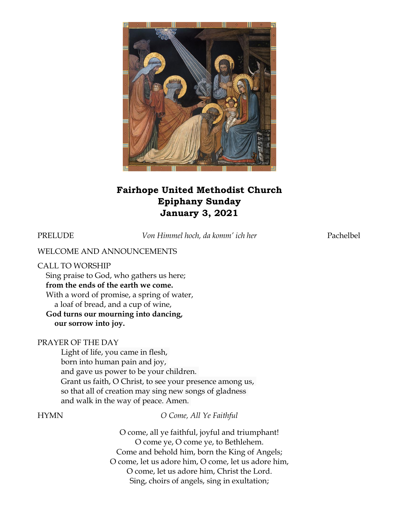

# **Fairhope United Methodist Church Epiphany Sunday January 3, 2021**

PRELUDE *Von Himmel hoch, da komm' ich her* Pachelbel

#### WELCOME AND ANNOUNCEMENTS

#### CALL TO WORSHIP

Sing praise to God, who gathers us here; **from the ends of the earth we come.**  With a word of promise, a spring of water, a loaf of bread, and a cup of wine, **God turns our mourning into dancing, our sorrow into joy.** 

#### PRAYER OF THE DAY

Light of life, you came in flesh, born into human pain and joy, and gave us power to be your children. Grant us faith, O Christ, to see your presence among us, so that all of creation may sing new songs of gladness and walk in the way of peace. Amen.

HYMN *O Come, All Ye Faithful*

O come, all ye faithful, joyful and triumphant! O come ye, O come ye, to Bethlehem. Come and behold him, born the King of Angels; O come, let us adore him, O come, let us adore him, O come, let us adore him, Christ the Lord. Sing, choirs of angels, sing in exultation;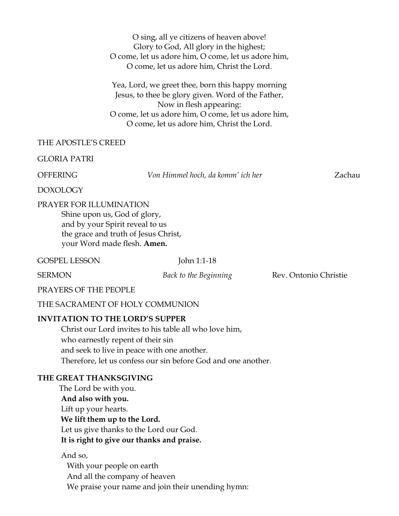O sing, all ye citizens of heaven above! Glory to God, All glory in the highest; O come, let us adore him, O come, let us adore him, O come, let us adore him, Christ the Lord.

Yea, Lord, we greet thee, born this happy morning Jesus, to thee be glory given. Word of the Father, Now in flesh appearing: O come, let us adore him, O come, let us adore him, O come, let us adore him, Christ the Lord.

#### THE APOSTLE'S CREED

GLORIA PATRI

OFFERING *Von Himmel hoch, da komm' ich her* Zachau

DOXOLOGY

#### PRAYER FOR ILLUMINATION

Shine upon us, God of glory, and by your Spirit reveal to us the grace and truth of Jesus Christ, your Word made flesh. **Amen.**

#### GOSPEL LESSON John 1:1-18

SERMON *Back to the Beginning* Rev. Ontonio Christie

PRAYERS OF THE PEOPLE

THE SACRAMENT OF HOLY COMMUNION

#### **INVITATION TO THE LORD'S SUPPER**

Christ our Lord invites to his table all who love him, who earnestly repent of their sin and seek to live in peace with one another. Therefore, let us confess our sin before God and one another.

### **THE GREAT THANKSGIVING**

The Lord be with you. **And also with you.** Lift up your hearts. **We lift them up to the Lord.** Let us give thanks to the Lord our God. **It is right to give our thanks and praise.**

And so, With your people on earth And all the company of heaven We praise your name and join their unending hymn: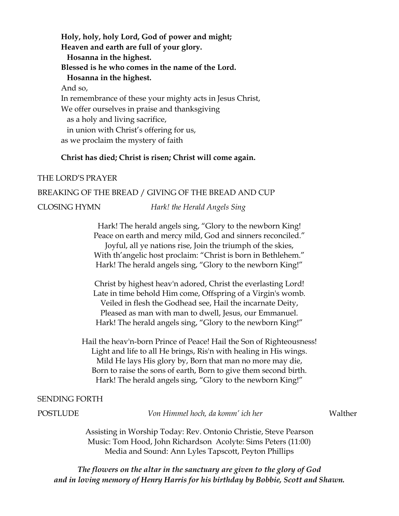**Holy, holy, holy Lord, God of power and might; Heaven and earth are full of your glory. Hosanna in the highest. Blessed is he who comes in the name of the Lord. Hosanna in the highest.** And so, In remembrance of these your mighty acts in Jesus Christ, We offer ourselves in praise and thanksgiving as a holy and living sacrifice, in union with Christ's offering for us, as we proclaim the mystery of faith

#### **Christ has died; Christ is risen; Christ will come again.**

# THE LORD'S PRAYER BREAKING OF THE BREAD / GIVING OF THE BREAD AND CUP CLOSING HYMN *Hark! the Herald Angels Sing*

Hark! The herald angels sing, "Glory to the newborn King! Peace on earth and mercy mild, God and sinners reconciled." Joyful, all ye nations rise, Join the triumph of the skies, With th'angelic host proclaim: "Christ is born in Bethlehem." Hark! The herald angels sing, "Glory to the newborn King!"

Christ by highest heav'n adored, Christ the everlasting Lord! Late in time behold Him come, Offspring of a Virgin's womb. Veiled in flesh the Godhead see, Hail the incarnate Deity, Pleased as man with man to dwell, Jesus, our Emmanuel. Hark! The herald angels sing, "Glory to the newborn King!"

Hail the heav'n-born Prince of Peace! Hail the Son of Righteousness! Light and life to all He brings, Ris'n with healing in His wings. Mild He lays His glory by, Born that man no more may die, Born to raise the sons of earth, Born to give them second birth. Hark! The herald angels sing, "Glory to the newborn King!"

#### SENDING FORTH

POSTLUDE *Von Himmel hoch, da komm' ich her* Walther

Assisting in Worship Today: Rev. Ontonio Christie, Steve Pearson Music: Tom Hood, John Richardson Acolyte: Sims Peters (11:00) Media and Sound: Ann Lyles Tapscott, Peyton Phillips

*The flowers on the altar in the sanctuary are given to the glory of God and in loving memory of Henry Harris for his birthday by Bobbie, Scott and Shawn.*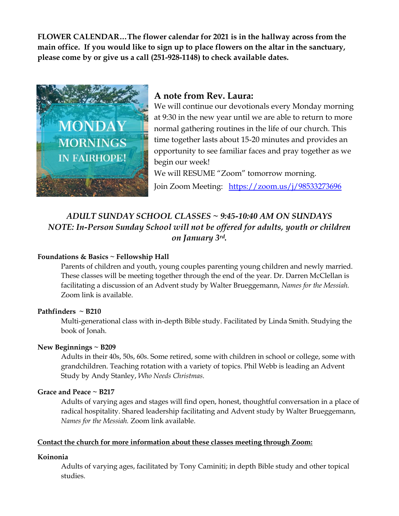**FLOWER CALENDAR…The flower calendar for 2021 is in the hallway across from the main office. If you would like to sign up to place flowers on the altar in the sanctuary, please come by or give us a call (251-928-1148) to check available dates.**



### **A note from Rev. Laura:**

We will continue our devotionals every Monday morning at 9:30 in the new year until we are able to return to more normal gathering routines in the life of our church. This time together lasts about 15-20 minutes and provides an opportunity to see familiar faces and pray together as we begin our week! We will RESUME "Zoom" tomorrow morning. Join Zoom Meeting: <https://zoom.us/j/98533273696>

### *ADULT SUNDAY SCHOOL CLASSES ~ 9:45-10:40 AM ON SUNDAYS NOTE: In-Person Sunday School will not be offered for adults, youth or children on January 3rd.*

#### **Foundations & Basics ~ Fellowship Hall**

Parents of children and youth, young couples parenting young children and newly married. These classes will be meeting together through the end of the year. Dr. Darren McClellan is facilitating a discussion of an Advent study by Walter Brueggemann, *Names for the Messiah.*  Zoom link is available.

#### **Pathfinders ~ B210**

Multi-generational class with in-depth Bible study. Facilitated by Linda Smith. Studying the book of Jonah.

#### **New Beginnings ~ B209**

Adults in their 40s, 50s, 60s. Some retired, some with children in school or college, some with grandchildren. Teaching rotation with a variety of topics. Phil Webb is leading an Advent Study by Andy Stanley, *Who Needs Christmas.* 

#### **Grace and Peace ~ B217**

Adults of varying ages and stages will find open, honest, thoughtful conversation in a place of radical hospitality. Shared leadership facilitating and Advent study by Walter Brueggemann, *Names for the Messiah.* Zoom link available.

#### **Contact the church for more information about these classes meeting through Zoom:**

#### **Koinonia**

Adults of varying ages, facilitated by Tony Caminiti; in depth Bible study and other topical studies.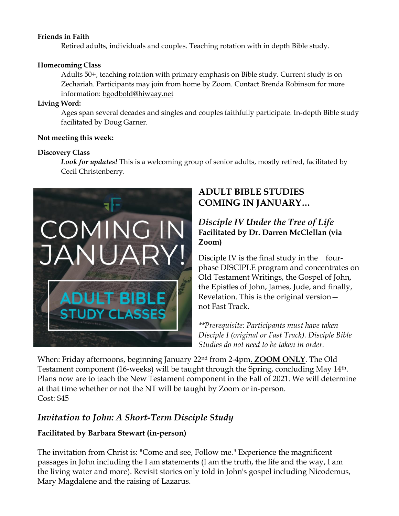#### **Friends in Faith**

Retired adults, individuals and couples. Teaching rotation with in depth Bible study.

#### **Homecoming Class**

Adults 50+, teaching rotation with primary emphasis on Bible study. Current study is on Zechariah. Participants may join from home by Zoom. Contact Brenda Robinson for more information: [bgodbold@hiwaay.net](mailto:bgodbold@hiwaay.net)

#### **Living Word:**

Ages span several decades and singles and couples faithfully participate. In-depth Bible study facilitated by Doug Garner.

#### **Not meeting this week:**

#### **Discovery Class**

*Look for updates!* This is a welcoming group of senior adults, mostly retired, facilitated by Cecil Christenberry.



# **ADULT BIBLE STUDIES COMING IN JANUARY…**

### *Disciple IV Under the Tree of Life* **Facilitated by Dr. Darren McClellan (via Zoom)**

Disciple IV is the final study in the fourphase DISCIPLE program and concentrates on Old Testament Writings, the Gospel of John, the Epistles of John, James, Jude, and finally, Revelation. This is the original version not Fast Track.

*\*\*Prerequisite: Participants must have taken Disciple I (original or Fast Track). Disciple Bible Studies do not need to be taken in order.* 

When: Friday afternoons, beginning January 22nd from 2-4pm**. ZOOM ONLY**. The Old Testament component (16-weeks) will be taught through the Spring, concluding May 14th. Plans now are to teach the New Testament component in the Fall of 2021. We will determine at that time whether or not the NT will be taught by Zoom or in-person. Cost: \$45

# *Invitation to John: A Short-Term Disciple Study*

### **Facilitated by Barbara Stewart (in-person)**

The invitation from Christ is: "Come and see, Follow me." Experience the magnificent passages in John including the I am statements (I am the truth, the life and the way, I am the living water and more). Revisit stories only told in John's gospel including Nicodemus, Mary Magdalene and the raising of Lazarus.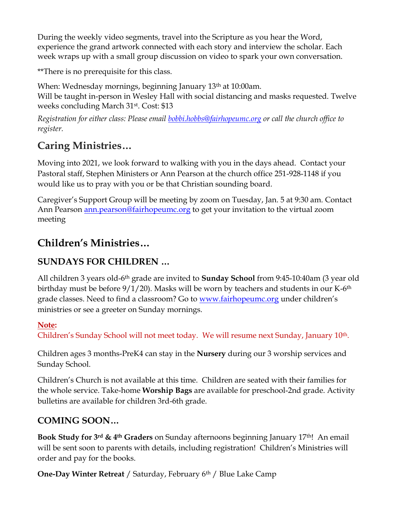During the weekly video segments, travel into the Scripture as you hear the Word, experience the grand artwork connected with each story and interview the scholar. Each week wraps up with a small group discussion on video to spark your own conversation.

\*\*There is no prerequisite for this class.

When: Wednesday mornings, beginning January 13th at 10:00am. Will be taught in-person in Wesley Hall with social distancing and masks requested. Twelve weeks concluding March 31st. Cost: \$13

*Registration for either class: Please email [bobbi.hobbs@fairhopeumc.org](mailto:bobbi.hobbs@fairhopeumc.org) or call the church office to register.*

# **Caring Ministries…**

Moving into 2021, we look forward to walking with you in the days ahead. Contact your Pastoral staff, Stephen Ministers or Ann Pearson at the church office 251-928-1148 if you would like us to pray with you or be that Christian sounding board.

Caregiver's Support Group will be meeting by zoom on Tuesday, Jan. 5 at 9:30 am. Contact Ann Pearson [ann.pearson@fairhopeumc.org](mailto:ann.pearson@fairhopeumc.org) to get your invitation to the virtual zoom meeting

# **Children's Ministries…**

# **SUNDAYS FOR CHILDREN …**

All children 3 years old-6th grade are invited to **Sunday School** from 9:45-10:40am (3 year old birthday must be before  $9/1/20$ ). Masks will be worn by teachers and students in our K-6<sup>th</sup> grade classes. Need to find a classroom? Go to [www.fairhopeumc.org](http://www.fairhopeumc.org/) under children's ministries or see a greeter on Sunday mornings.

## **Note:**

Children's Sunday School will not meet today. We will resume next Sunday, January 10<sup>th</sup>.

Children ages 3 months-PreK4 can stay in the **Nursery** during our 3 worship services and Sunday School.

Children's Church is not available at this time. Children are seated with their families for the whole service. Take-home **Worship Bags** are available for preschool-2nd grade. Activity bulletins are available for children 3rd-6th grade.

# **COMING SOON…**

**Book Study for 3rd & 4th Graders** on Sunday afternoons beginning January 17th! An email will be sent soon to parents with details, including registration! Children's Ministries will order and pay for the books.

**One-Day Winter Retreat** / Saturday, February 6th / Blue Lake Camp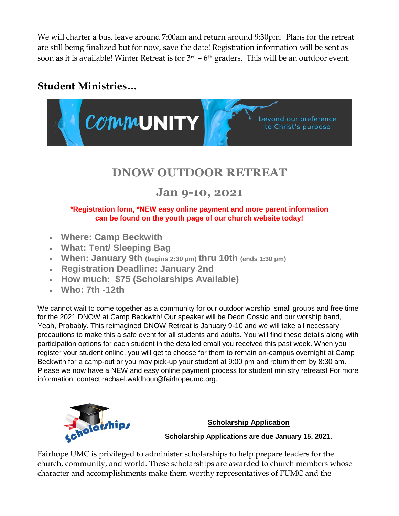We will charter a bus, leave around 7:00am and return around 9:30pm. Plans for the retreat are still being finalized but for now, save the date! Registration information will be sent as soon as it is available! Winter Retreat is for  $3<sup>rd</sup> - 6<sup>th</sup>$  graders. This will be an outdoor event.

# **Student Ministries…**



# **DNOW OUTDOOR RETREAT**

# **Jan 9-10, 2021**

#### **\*Registration form, \*NEW easy online payment and more parent information can be found on the youth page of our church website today!**

- **Where: Camp Beckwith**
- **What: Tent/ Sleeping Bag**
- **When: January 9th (begins 2:30 pm) thru 10th (ends 1:30 pm)**
- **Registration Deadline: January 2nd**
- **How much: \$75 (Scholarships Available)**
- **Who: 7th -12th**

We cannot wait to come together as a community for our outdoor worship, small groups and free time for the 2021 DNOW at Camp Beckwith! Our speaker will be Deon Cossio and our worship band, Yeah, Probably. This reimagined DNOW Retreat is January 9-10 and we will take all necessary precautions to make this a safe event for all students and adults. You will find these details along with participation options for each student in the detailed email you received this past week. When you register your student online, you will get to choose for them to remain on-campus overnight at Camp Beckwith for a camp-out or you may pick-up your student at 9:00 pm and return them by 8:30 am. Please we now have a NEW and easy online payment process for student ministry retreats! For more information, contact rachael.waldhour@fairhopeumc.org.



### **[Scholarship Application](https://fairhopeumc.us14.list-manage.com/track/click?u=19c1778e7538bb734e0f04119&id=b525ced1eb&e=2630421917)**

**Scholarship Applications are due January 15, 2021.** 

Fairhope UMC is privileged to administer scholarships to help prepare leaders for the church, community, and world. These scholarships are awarded to church members whose character and accomplishments make them worthy representatives of FUMC and the